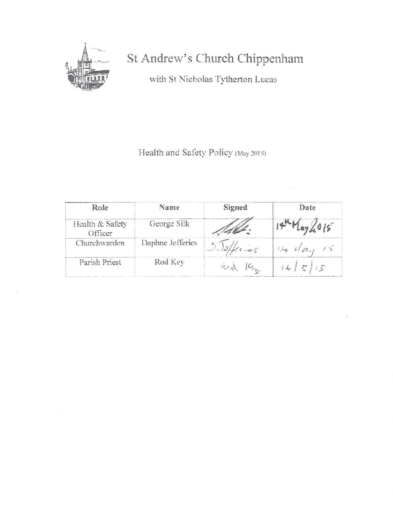

# St Andrew's Church Chippenham

with St Nicholas Tytherton Lucas

Health and Safety Policy (May 2015)

| Role                       | Name             | Signed | Date      |
|----------------------------|------------------|--------|-----------|
| Health & Safety<br>Officer | George Silk      |        | Tlay2.015 |
| Churchwarden               | Daphne Jefferies | Kries  |           |
| Parish Priest              | Rod Key          | Ked Kh |           |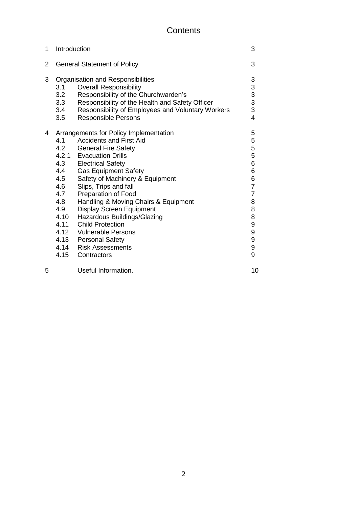## **Contents**

| 1 | Introduction                                                                        |                                                                                                                                                                                                                                                                                                                                                                                                                                                                                                                 | 3                                                                                                                                  |
|---|-------------------------------------------------------------------------------------|-----------------------------------------------------------------------------------------------------------------------------------------------------------------------------------------------------------------------------------------------------------------------------------------------------------------------------------------------------------------------------------------------------------------------------------------------------------------------------------------------------------------|------------------------------------------------------------------------------------------------------------------------------------|
| 2 | <b>General Statement of Policy</b>                                                  |                                                                                                                                                                                                                                                                                                                                                                                                                                                                                                                 | 3                                                                                                                                  |
| 3 | 3.1<br>3.2<br>3.3<br>3.4<br>3.5                                                     | Organisation and Responsibilities<br><b>Overall Responsibility</b><br>Responsibility of the Churchwarden's<br>Responsibility of the Health and Safety Officer<br>Responsibility of Employees and Voluntary Workers<br><b>Responsible Persons</b>                                                                                                                                                                                                                                                                | $3333$<br>$333$                                                                                                                    |
| 4 | 4.1<br>4.2<br>4.3<br>4.4<br>4.5<br>4.6<br>4.7<br>4.8<br>4.9<br>4.10<br>4.11<br>4.15 | Arrangements for Policy Implementation<br><b>Accidents and First Aid</b><br><b>General Fire Safety</b><br>4.2.1 Evacuation Drills<br><b>Electrical Safety</b><br><b>Gas Equipment Safety</b><br>Safety of Machinery & Equipment<br>Slips, Trips and fall<br>Preparation of Food<br>Handling & Moving Chairs & Equipment<br><b>Display Screen Equipment</b><br>Hazardous Buildings/Glazing<br><b>Child Protection</b><br>4.12 Vulnerable Persons<br>4.13 Personal Safety<br>4.14 Risk Assessments<br>Contractors | 5<br>5<br>5<br>5<br>5<br>6<br>6<br>6<br>7<br>$\overline{7}$<br>$\begin{array}{c} 8 \\ 8 \\ 8 \end{array}$<br>9<br>9<br>9<br>9<br>9 |
| 5 |                                                                                     | Useful Information.                                                                                                                                                                                                                                                                                                                                                                                                                                                                                             | 10                                                                                                                                 |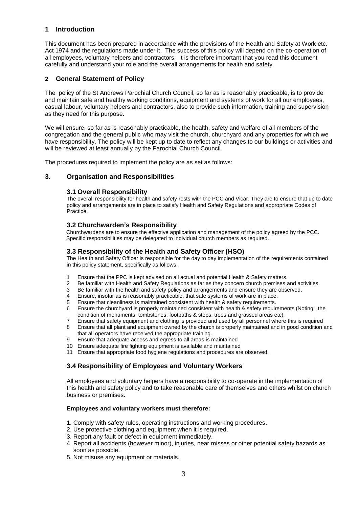#### **1 Introduction**

This document has been prepared in accordance with the provisions of the Health and Safety at Work etc. Act 1974 and the regulations made under it. The success of this policy will depend on the co-operation of all employees, voluntary helpers and contractors. It is therefore important that you read this document carefully and understand your role and the overall arrangements for health and safety.

#### **2 General Statement of Policy**

The policy of the St Andrews Parochial Church Council, so far as is reasonably practicable, is to provide and maintain safe and healthy working conditions, equipment and systems of work for all our employees, casual labour, voluntary helpers and contractors, also to provide such information, training and supervision as they need for this purpose.

We will ensure, so far as is reasonably practicable, the health, safety and welfare of all members of the congregation and the general public who may visit the church, churchyard and any properties for which we have responsibility. The policy will be kept up to date to reflect any changes to our buildings or activities and will be reviewed at least annually by the Parochial Church Council.

The procedures required to implement the policy are as set as follows:

#### **3. Organisation and Responsibilities**

#### **3.1 Overall Responsibility**

The overall responsibility for health and safety rests with the PCC and Vicar. They are to ensure that up to date policy and arrangements are in place to satisfy Health and Safety Regulations and appropriate Codes of Practice.

#### **3.2 Churchwarden's Responsibility**

Churchwardens are to ensure the effective application and management of the policy agreed by the PCC. Specific responsibilities may be delegated to individual church members as required.

#### **3.3 Responsibility of the Health and Safety Officer (HSO)**

The Health and Safety Officer is responsible for the day to day implementation of the requirements contained in this policy statement, specifically as follows:

- 1 Ensure that the PPC is kept advised on all actual and potential Health & Safety matters.
- 2 Be familiar with Health and Safety Regulations as far as they concern church premises and activities.
- 3 Be familiar with the health and safety policy and arrangements and ensure they are observed.
- 4 Ensure, insofar as is reasonably practicable, that safe systems of work are in place.
- 5 Ensure that cleanliness is maintained consistent with health & safety requirements.
- 6 Ensure the churchyard is properly maintained consistent with health & safety requirements (Noting: the condition of monuments, tombstones, footpaths & steps, trees and grassed areas etc).
- 7 Ensure that safety equipment and clothing is provided and used by all personnel where this is required
- 8 Ensure that all plant and equipment owned by the church is properly maintained and in good condition and that all operators have received the appropriate training.
- 9 Ensure that adequate access and egress to all areas is maintained
- 10 Ensure adequate fire fighting equipment is available and maintained
- 11 Ensure that appropriate food hygiene regulations and procedures are observed.

#### **3.4 Responsibility of Employees and Voluntary Workers**

All employees and voluntary helpers have a responsibility to co-operate in the implementation of this health and safety policy and to take reasonable care of themselves and others whilst on church business or premises.

#### **Employees and voluntary workers must therefore:**

- 1. Comply with safety rules, operating instructions and working procedures.
- 2. Use protective clothing and equipment when it is required.
- 3. Report any fault or defect in equipment immediately.
- 4. Report all accidents (however minor), injuries, near misses or other potential safety hazards as soon as possible.
- 5. Not misuse any equipment or materials.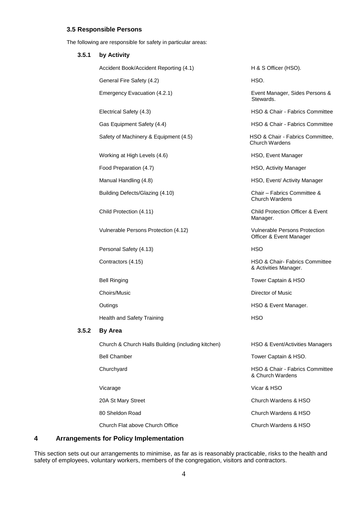#### **3.5 Responsible Persons**

The following are responsible for safety in particular areas:

| 3.5.1 | by Activity                                        |                                                           |
|-------|----------------------------------------------------|-----------------------------------------------------------|
|       | Accident Book/Accident Reporting (4.1)             | H & S Officer (HSO).                                      |
|       | General Fire Safety (4.2)                          | HSO.                                                      |
|       | Emergency Evacuation (4.2.1)                       | Event Manager, Sides Persons &<br>Stewards.               |
|       | Electrical Safety (4.3)                            | HSO & Chair - Fabrics Committee                           |
|       | Gas Equipment Safety (4.4)                         | HSO & Chair - Fabrics Committee                           |
|       | Safety of Machinery & Equipment (4.5)              | HSO & Chair - Fabrics Committee,<br><b>Church Wardens</b> |
|       | Working at High Levels (4.6)                       | HSO, Event Manager                                        |
|       | Food Preparation (4.7)                             | HSO, Activity Manager                                     |
|       | Manual Handling (4.8)                              | HSO, Event/ Activity Manager                              |
|       | Building Defects/Glazing (4.10)                    | Chair - Fabrics Committee &<br><b>Church Wardens</b>      |
|       | Child Protection (4.11)                            | <b>Child Protection Officer &amp; Event</b><br>Manager.   |
|       | Vulnerable Persons Protection (4.12)               | Vulnerable Persons Protection<br>Officer & Event Manager  |
|       | Personal Safety (4.13)                             | <b>HSO</b>                                                |
|       | Contractors (4.15)                                 | HSO & Chair- Fabrics Committee<br>& Activities Manager.   |
|       | <b>Bell Ringing</b>                                | Tower Captain & HSO                                       |
|       | Choirs/Music                                       | <b>Director of Music</b>                                  |
|       | Outings                                            | HSO & Event Manager.                                      |
|       | <b>Health and Safety Training</b>                  | <b>HSO</b>                                                |
| 3.5.2 | <b>By Area</b>                                     |                                                           |
|       | Church & Church Halls Building (including kitchen) | HSO & Event/Activities Managers                           |
|       | <b>Bell Chamber</b>                                | Tower Captain & HSO.                                      |
|       | Churchyard                                         | HSO & Chair - Fabrics Committee<br>& Church Wardens       |
|       | Vicarage                                           | Vicar & HSO                                               |
|       | 20A St Mary Street                                 | Church Wardens & HSO                                      |
|       | 80 Sheldon Road                                    | Church Wardens & HSO                                      |
|       | Church Flat above Church Office                    | Church Wardens & HSO                                      |

### **4 Arrangements for Policy Implementation**

This section sets out our arrangements to minimise, as far as is reasonably practicable, risks to the health and safety of employees, voluntary workers, members of the congregation, visitors and contractors.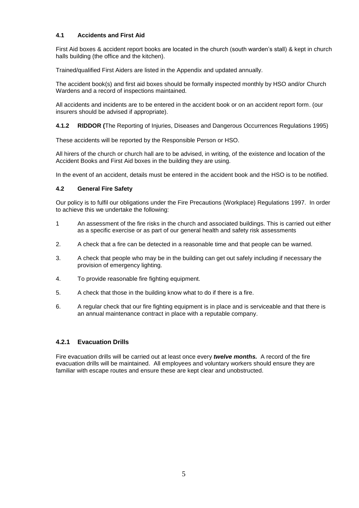#### **4.1 Accidents and First Aid**

First Aid boxes & accident report books are located in the church (south warden"s stall) & kept in church halls building (the office and the kitchen).

Trained/qualified First Aiders are listed in the Appendix and updated annually.

The accident book(s) and first aid boxes should be formally inspected monthly by HSO and/or Church Wardens and a record of inspections maintained.

All accidents and incidents are to be entered in the accident book or on an accident report form. (our insurers should be advised if appropriate).

**4.1.2 RIDDOR (**The Reporting of Injuries, Diseases and Dangerous Occurrences Regulations 1995)

These accidents will be reported by the Responsible Person or HSO.

All hirers of the church or church hall are to be advised, in writing, of the existence and location of the Accident Books and First Aid boxes in the building they are using.

In the event of an accident, details must be entered in the accident book and the HSO is to be notified.

#### **4.2 General Fire Safety**

Our policy is to fulfil our obligations under the Fire Precautions (Workplace) Regulations 1997. In order to achieve this we undertake the following:

- 1 An assessment of the fire risks in the church and associated buildings. This is carried out either as a specific exercise or as part of our general health and safety risk assessments
- 2. A check that a fire can be detected in a reasonable time and that people can be warned.
- 3. A check that people who may be in the building can get out safely including if necessary the provision of emergency lighting.
- 4. To provide reasonable fire fighting equipment.
- 5. A check that those in the building know what to do if there is a fire.
- 6. A regular check that our fire fighting equipment is in place and is serviceable and that there is an annual maintenance contract in place with a reputable company.

#### **4.2.1 Evacuation Drills**

Fire evacuation drills will be carried out at least once every *twelve months.* A record of the fire evacuation drills will be maintained. All employees and voluntary workers should ensure they are familiar with escape routes and ensure these are kept clear and unobstructed.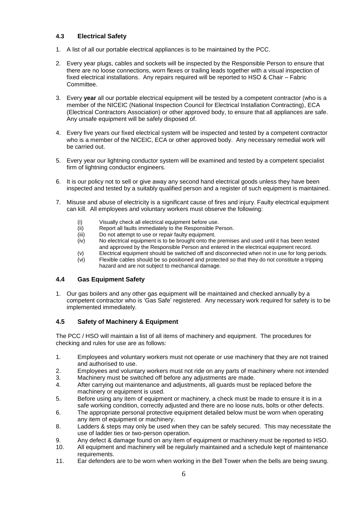#### **4.3 Electrical Safety**

- 1. A list of all our portable electrical appliances is to be maintained by the PCC.
- 2. Every year plugs, cables and sockets will be inspected by the Responsible Person to ensure that there are no loose connections, worn flexes or trailing leads together with a visual inspection of fixed electrical installations. Any repairs required will be reported to HSO & Chair – Fabric Committee.
- 3. Every **year** all our portable electrical equipment will be tested by a competent contractor (who is a member of the NICEIC (National Inspection Council for Electrical Installation Contracting), ECA (Electrical Contractors Association) or other approved body, to ensure that all appliances are safe. Any unsafe equipment will be safely disposed of.
- 4. Every five years our fixed electrical system will be inspected and tested by a competent contractor who is a member of the NICEIC, ECA or other approved body. Any necessary remedial work will be carried out.
- 5. Every year our lightning conductor system will be examined and tested by a competent specialist firm of lightning conductor engineers.
- 6. It is our policy not to sell or give away any second hand electrical goods unless they have been inspected and tested by a suitably qualified person and a register of such equipment is maintained.
- 7. Misuse and abuse of electricity is a significant cause of fires and injury. Faulty electrical equipment can kill. All employees and voluntary workers must observe the following:
	- (i) Visually check all electrical equipment before use.
	- (ii) Report all faults immediately to the Responsible Person.
	- (iii) Do not attempt to use or repair faulty equipment.
	- (iv) No electrical equipment is to be brought onto the premises and used until it has been tested and approved by the Responsible Person and entered in the electrical equipment record.
	- (v) Electrical equipment should be switched off and disconnected when not in use for long periods. (vi) Flexible cables should be so positioned and protected so that they do not constitute a tripping hazard and are not subject to mechanical damage.

#### **4.4 Gas Equipment Safety**

1. Our gas boilers and any other gas equipment will be maintained and checked annually by a competent contractor who is "Gas Safe" registered. Any necessary work required for safety is to be implemented immediately.

#### **4.5 Safety of Machinery & Equipment**

The PCC / HSO will maintain a list of all items of machinery and equipment. The procedures for checking and rules for use are as follows:

- 1. Employees and voluntary workers must not operate or use machinery that they are not trained and authorised to use.
- 2. Employees and voluntary workers must not ride on any parts of machinery where not intended
- 3. Machinery must be switched off before any adjustments are made.
- 4. After carrying out maintenance and adjustments, all guards must be replaced before the machinery or equipment is used.
- 5. Before using any item of equipment or machinery, a check must be made to ensure it is in a safe working condition, correctly adjusted and there are no loose nuts, bolts or other defects.
- 6. The appropriate personal protective equipment detailed below must be worn when operating any item of equipment or machinery.
- 8. Ladders & steps may only be used when they can be safely secured. This may necessitate the use of ladder ties or two-person operation.
- 9. Any defect & damage found on any item of equipment or machinery must be reported to HSO.
- 10. All equipment and machinery will be regularly maintained and a schedule kept of maintenance requirements.
- 11. Ear defenders are to be worn when working in the Bell Tower when the bells are being swung.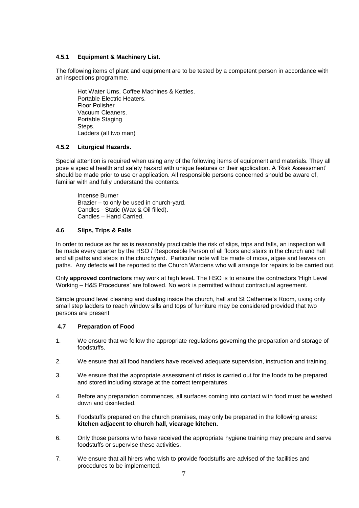#### **4.5.1 Equipment & Machinery List.**

The following items of plant and equipment are to be tested by a competent person in accordance with an inspections programme.

Hot Water Urns, Coffee Machines & Kettles. Portable Electric Heaters. Floor Polisher Vacuum Cleaners. Portable Staging Steps. Ladders (all two man)

#### **4.5.2 Liturgical Hazards.**

Special attention is required when using any of the following items of equipment and materials. They all pose a special health and safety hazard with unique features or their application. A "Risk Assessment" should be made prior to use or application. All responsible persons concerned should be aware of, familiar with and fully understand the contents.

Incense Burner Brazier – to only be used in church-yard. Candles - Static (Wax & Oil filled). Candles – Hand Carried.

#### **4.6 Slips, Trips & Falls**

In order to reduce as far as is reasonably practicable the risk of slips, trips and falls, an inspection will be made every quarter by the HSO / Responsible Person of all floors and stairs in the church and hall and all paths and steps in the churchyard. Particular note will be made of moss, algae and leaves on paths. Any defects will be reported to the Church Wardens who will arrange for repairs to be carried out.

Only **approved contractors** may work at high level**.** The HSO is to ensure the contractors "High Level Working – H&S Procedures" are followed. No work is permitted without contractual agreement.

Simple ground level cleaning and dusting inside the church, hall and St Catherine's Room, using only small step ladders to reach window sills and tops of furniture may be considered provided that two persons are present

#### **4.7 Preparation of Food**

- 1. We ensure that we follow the appropriate regulations governing the preparation and storage of foodstuffs.
- 2. We ensure that all food handlers have received adequate supervision, instruction and training.
- 3. We ensure that the appropriate assessment of risks is carried out for the foods to be prepared and stored including storage at the correct temperatures.
- 4. Before any preparation commences, all surfaces coming into contact with food must be washed down and disinfected.
- 5. Foodstuffs prepared on the church premises, may only be prepared in the following areas: **kitchen adjacent to church hall, vicarage kitchen.**
- 6. Only those persons who have received the appropriate hygiene training may prepare and serve foodstuffs or supervise these activities.
- 7. We ensure that all hirers who wish to provide foodstuffs are advised of the facilities and procedures to be implemented.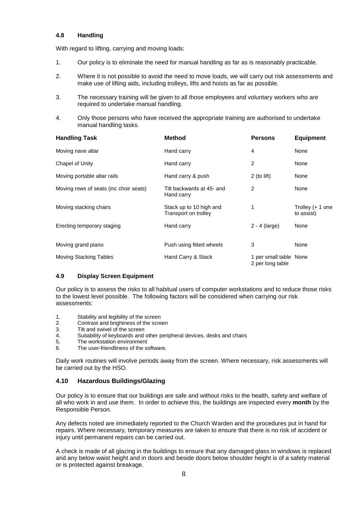#### **4.8 Handling**

With regard to lifting, carrying and moving loads:

- 1. Our policy is to eliminate the need for manual handling as far as is reasonably practicable.
- 2. Where it is not possible to avoid the need to move loads, we will carry out risk assessments and make use of lifting aids, including trolleys, lifts and hoists as far as possible.
- 3. The necessary training will be given to all those employees and voluntary workers who are required to undertake manual handling.
- 4. Only those persons who have received the appropriate training are authorised to undertake manual handling tasks.

| <b>Handling Task</b>                   | <b>Method</b>                                   | <b>Persons</b>                             | <b>Equipment</b>               |
|----------------------------------------|-------------------------------------------------|--------------------------------------------|--------------------------------|
| Moving nave altar                      | Hand carry                                      | 4                                          | None                           |
| Chapel of Unity                        | Hand carry                                      | 2                                          | None                           |
| Moving portable altar rails            | Hand carry & push                               | $2$ (to lift)                              | None                           |
| Moving rows of seats (inc choir seats) | Tilt backwards at 45∘ and<br>Hand carry         | 2                                          | None                           |
| Moving stacking chairs                 | Stack up to 10 high and<br>Transport on trolley | 1                                          | Trolley (+ 1 one<br>to assist) |
| Erecting temporary staging             | Hand carry                                      | $2 - 4$ (large)                            | None                           |
| Moving grand piano                     | Push using fitted wheels                        | 3                                          | None                           |
| <b>Moving Stacking Tables</b>          | Hand Carry & Stack                              | 1 per small table None<br>2 per long table |                                |

#### **4.9 Display Screen Equipment**

Our policy is to assess the risks to all habitual users of computer workstations and to reduce those risks to the lowest level possible. The following factors will be considered when carrying our risk assessments:

- 1. Stability and legibility of the screen
- 2. Contrast and brightness of the screen<br>3 Tilt and swivel of the screen
- Tilt and swivel of the screen
- 4. Suitability of keyboards and other peripheral devices, desks and chairs
- 5. The workstation environment
- 6. The user-friendliness of the software.

Daily work routines will involve periods away from the screen. Where necessary, risk assessments will be carried out by the HSO.

#### **4.10 Hazardous Buildings/Glazing**

Our policy is to ensure that our buildings are safe and without risks to the health, safety and welfare of all who work in and use them. In order to achieve this, the buildings are inspected every **month** by the Responsible Person.

Any defects noted are immediately reported to the Church Warden and the procedures put in hand for repairs. Where necessary, temporary measures are taken to ensure that there is no risk of accident or injury until permanent repairs can be carried out.

A check is made of all glazing in the buildings to ensure that any damaged glass in windows is replaced and any below waist height and in doors and beside doors below shoulder height is of a safety material or is protected against breakage.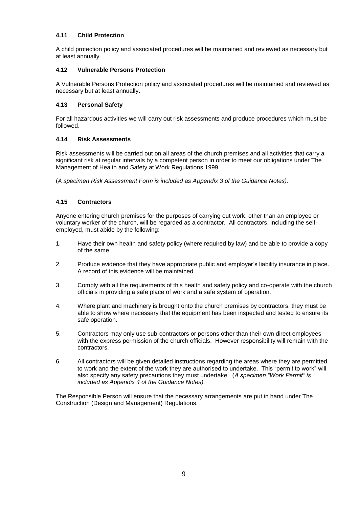#### **4.11 Child Protection**

A child protection policy and associated procedures will be maintained and reviewed as necessary but at least annually.

#### **4.12 Vulnerable Persons Protection**

A Vulnerable Persons Protection policy and associated procedures will be maintained and reviewed as necessary but at least annually**.** 

#### **4.13 Personal Safety**

For all hazardous activities we will carry out risk assessments and produce procedures which must be followed.

#### **4.14 Risk Assessments**

Risk assessments will be carried out on all areas of the church premises and all activities that carry a significant risk at regular intervals by a competent person in order to meet our obligations under The Management of Health and Safety at Work Regulations 1999.

(*A specimen Risk Assessment Form is included as Appendix 3 of the Guidance Notes).*

#### **4.15 Contractors**

Anyone entering church premises for the purposes of carrying out work, other than an employee or voluntary worker of the church, will be regarded as a contractor. All contractors, including the selfemployed, must abide by the following:

- 1. Have their own health and safety policy (where required by law) and be able to provide a copy of the same.
- 2. Produce evidence that they have appropriate public and employer"s liability insurance in place. A record of this evidence will be maintained.
- 3. Comply with all the requirements of this health and safety policy and co-operate with the church officials in providing a safe place of work and a safe system of operation.
- 4. Where plant and machinery is brought onto the church premises by contractors, they must be able to show where necessary that the equipment has been inspected and tested to ensure its safe operation.
- 5. Contractors may only use sub-contractors or persons other than their own direct employees with the express permission of the church officials. However responsibility will remain with the contractors.
- 6. All contractors will be given detailed instructions regarding the areas where they are permitted to work and the extent of the work they are authorised to undertake. This "permit to work" will also specify any safety precautions they must undertake. (*A specimen "Work Permit" is included as Appendix 4 of the Guidance Notes).*

The Responsible Person will ensure that the necessary arrangements are put in hand under The Construction (Design and Management) Regulations.